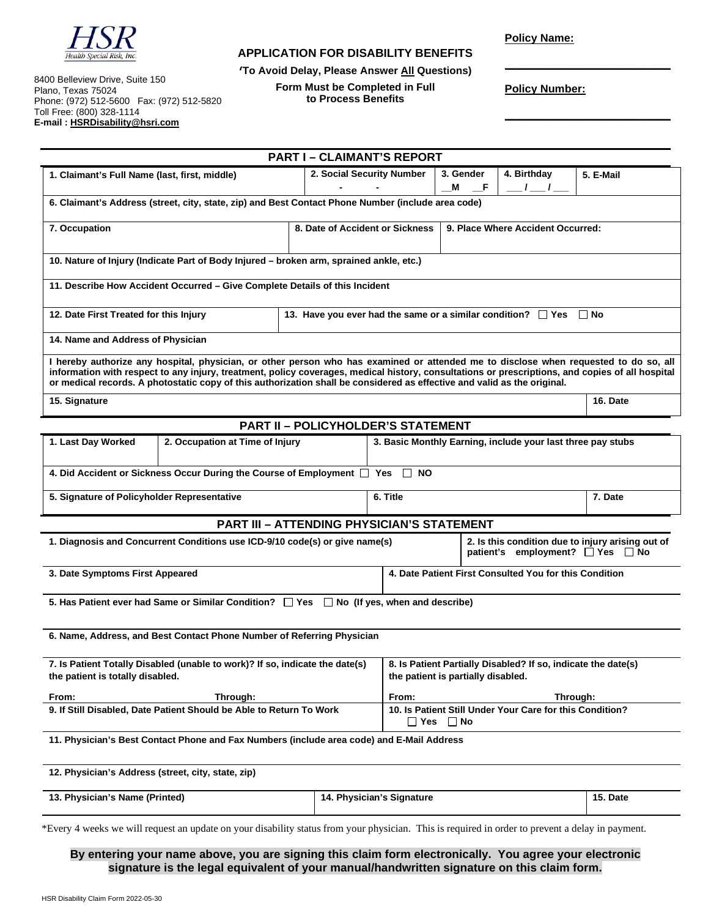

## **APPLICATION FOR DISABILITY BENEFITS**

**(To Avoid Delay, Please Answer All Questions)** 

8400 Belleview Drive, Suite 150 Plano, Texas 75024 Phone: (972) 512-5600 Fax: (972) 512-5820 Toll Free: (800) 328-1114 **E-mail : HSRDisability@hsri.com** 

**Form Must be Completed in Full to Process Benefits** 

**Policy Name:** 

**Policy Number:** 

**\_\_\_\_\_\_\_\_\_\_\_\_\_\_\_\_\_\_\_\_\_\_\_\_\_\_\_** 

**\_\_\_\_\_\_\_\_\_\_\_\_\_\_\_\_\_\_\_\_\_\_\_\_\_\_\_**

|                                                                                                                                                                                                                                                                                                                                                                                                                      |                           | <b>PART I - CLAIMANT'S REPORT</b>                                                             |                                                                                                     |                           |           |
|----------------------------------------------------------------------------------------------------------------------------------------------------------------------------------------------------------------------------------------------------------------------------------------------------------------------------------------------------------------------------------------------------------------------|---------------------------|-----------------------------------------------------------------------------------------------|-----------------------------------------------------------------------------------------------------|---------------------------|-----------|
| 1. Claimant's Full Name (last, first, middle)                                                                                                                                                                                                                                                                                                                                                                        | 2. Social Security Number |                                                                                               | 3. Gender<br>- F<br>м                                                                               | 4. Birthday<br>$\sqrt{1}$ | 5. E-Mail |
| 6. Claimant's Address (street, city, state, zip) and Best Contact Phone Number (include area code)                                                                                                                                                                                                                                                                                                                   |                           |                                                                                               |                                                                                                     |                           |           |
| 7. Occupation<br>8. Date of Accident or Sickness                                                                                                                                                                                                                                                                                                                                                                     |                           |                                                                                               | 9. Place Where Accident Occurred:                                                                   |                           |           |
| 10. Nature of Injury (Indicate Part of Body Injured – broken arm, sprained ankle, etc.)                                                                                                                                                                                                                                                                                                                              |                           |                                                                                               |                                                                                                     |                           |           |
| 11. Describe How Accident Occurred - Give Complete Details of this Incident                                                                                                                                                                                                                                                                                                                                          |                           |                                                                                               |                                                                                                     |                           |           |
| 12. Date First Treated for this Injury<br>13. Have you ever had the same or a similar condition? $\Box$ Yes $\Box$ No                                                                                                                                                                                                                                                                                                |                           |                                                                                               |                                                                                                     |                           |           |
| 14. Name and Address of Physician                                                                                                                                                                                                                                                                                                                                                                                    |                           |                                                                                               |                                                                                                     |                           |           |
| I hereby authorize any hospital, physician, or other person who has examined or attended me to disclose when requested to do so, all<br>information with respect to any injury, treatment, policy coverages, medical history, consultations or prescriptions, and copies of all hospital<br>or medical records. A photostatic copy of this authorization shall be considered as effective and valid as the original. |                           |                                                                                               |                                                                                                     |                           |           |
| 15. Signature                                                                                                                                                                                                                                                                                                                                                                                                        |                           |                                                                                               | 16. Date                                                                                            |                           |           |
| <b>PART II - POLICYHOLDER'S STATEMENT</b>                                                                                                                                                                                                                                                                                                                                                                            |                           |                                                                                               |                                                                                                     |                           |           |
| 1. Last Day Worked<br>2. Occupation at Time of Injury<br>3. Basic Monthly Earning, include your last three pay stubs                                                                                                                                                                                                                                                                                                 |                           |                                                                                               |                                                                                                     |                           |           |
| 4. Did Accident or Sickness Occur During the Course of Employment   Yes<br>$\Box$<br>NO.                                                                                                                                                                                                                                                                                                                             |                           |                                                                                               |                                                                                                     |                           |           |
| 5. Signature of Policyholder Representative                                                                                                                                                                                                                                                                                                                                                                          |                           | 6. Title                                                                                      |                                                                                                     | 7. Date                   |           |
| <b>PART III - ATTENDING PHYSICIAN'S STATEMENT</b>                                                                                                                                                                                                                                                                                                                                                                    |                           |                                                                                               |                                                                                                     |                           |           |
| 1. Diagnosis and Concurrent Conditions use ICD-9/10 code(s) or give name(s)                                                                                                                                                                                                                                                                                                                                          |                           | 2. Is this condition due to injury arising out of<br>patient's employment? □ Yes<br>$\Box$ No |                                                                                                     |                           |           |
| 3. Date Symptoms First Appeared                                                                                                                                                                                                                                                                                                                                                                                      |                           | 4. Date Patient First Consulted You for this Condition                                        |                                                                                                     |                           |           |
| 5. Has Patient ever had Same or Similar Condition? $\Box$ Yes $\Box$ No (If yes, when and describe)                                                                                                                                                                                                                                                                                                                  |                           |                                                                                               |                                                                                                     |                           |           |
| 6. Name, Address, and Best Contact Phone Number of Referring Physician                                                                                                                                                                                                                                                                                                                                               |                           |                                                                                               |                                                                                                     |                           |           |
| 7. Is Patient Totally Disabled (unable to work)? If so, indicate the date(s)<br>the patient is totally disabled.                                                                                                                                                                                                                                                                                                     |                           |                                                                                               | 8. Is Patient Partially Disabled? If so, indicate the date(s)<br>the patient is partially disabled. |                           |           |
| Through:<br>From:                                                                                                                                                                                                                                                                                                                                                                                                    |                           | From:                                                                                         | Through:                                                                                            |                           |           |
| 9. If Still Disabled, Date Patient Should be Able to Return To Work                                                                                                                                                                                                                                                                                                                                                  |                           |                                                                                               | 10. Is Patient Still Under Your Care for this Condition?<br>$\Box$ Yes $\Box$ No                    |                           |           |
| 11. Physician's Best Contact Phone and Fax Numbers (include area code) and E-Mail Address                                                                                                                                                                                                                                                                                                                            |                           |                                                                                               |                                                                                                     |                           |           |
| 12. Physician's Address (street, city, state, zip)                                                                                                                                                                                                                                                                                                                                                                   |                           |                                                                                               |                                                                                                     |                           |           |
| 13. Physician's Name (Printed)                                                                                                                                                                                                                                                                                                                                                                                       |                           | 14. Physician's Signature                                                                     |                                                                                                     |                           | 15. Date  |

\*Every 4 weeks we will request an update on your disability status from your physician. This is required in order to prevent a delay in payment.

**By entering your name above, you are signing this claim form electronically. You agree your electronic signature is the legal equivalent of your manual/handwritten signature on this claim form.**